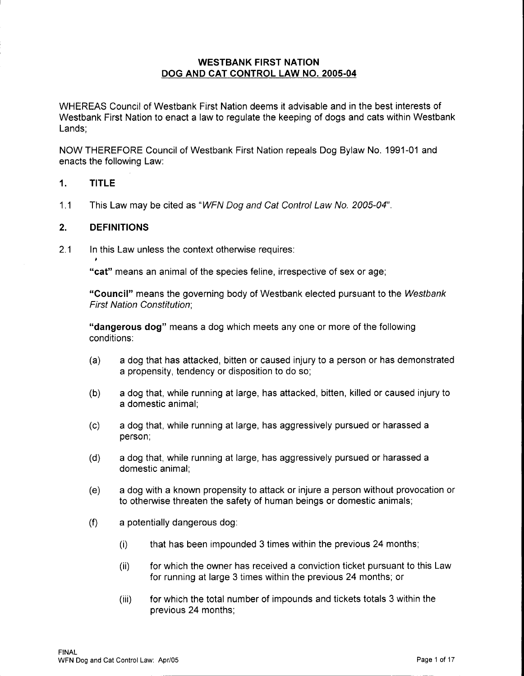### **WESTBANK FIRST NATION DOG AND CAT CONTROL LAW NO. 2005-04**

WHEREAS Council of Westbank First Nation deems it advisable and in the best interests of Westbank First Nation to enact a law to regulate the keeping of dogs and cats within Westbank Lands;

NOW THEREFORE Council of Westbank First Nation repeals Dog Bylaw No. 1991-01 and enacts the following Law:

#### **1. TITLE**

1.1 This Law may be cited as "WFN Dog and Cat Control Law No. 2005-04".

#### **2. DEFINITIONS**

2.1 In this Law unless the context otherwise requires:

**"cat"** means an animal of the species feline, irrespective of sex or age;

**"Council"** means the governing body of Westbank elected pursuant to the Westbank First Nation Constitution;

**"dangerous dog"** means a dog which meets any one or more of the following conditions:

- (a) a dog that has attacked, bitten or caused injury to a person or has demonstrated a propensity, tendency or disposition to do so;
- (b) a dog that, while running at large, has attacked, bitten, killed or caused injury to a domestic animal;
- (c) a dog that, while running at large, has aggressively pursued or harassed a person;
- (d) a dog that, while running at large, has aggressively pursued or harassed a domestic animal;
- (e) a dog with a known propensity to attack or injure a person without provocation or to otherwise threaten the safety of human beings or domestic animals;
- (f) a potentially dangerous dog:
	- (i) that has been impounded 3 times within the previous 24 months;
	- (ii) for which the owner has received a conviction ticket pursuant to this Law for running at large 3 times within the previous 24 months; or
	- (iii) for which the total number of impounds and tickets totals 3 within the previous 24 months;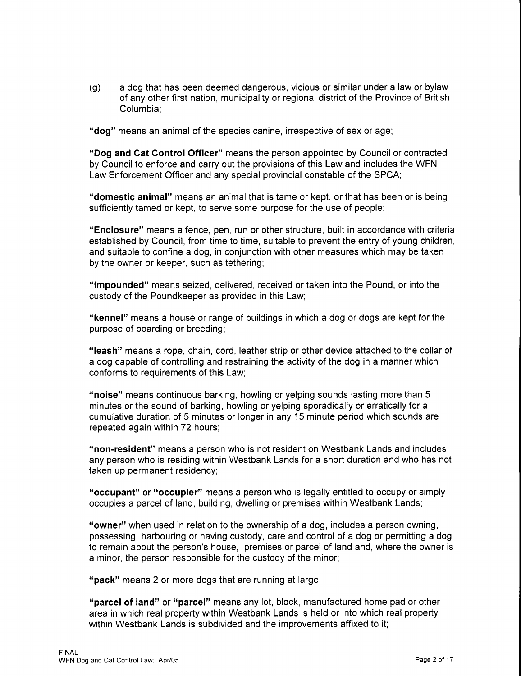(g) a dog that has been deemed dangerous, vicious or similar under a law or bylaw of any other first nation, municipality or regional district of the Province of British Columbia;

**"dog"** means an animal of the species canine, irrespective of sex or age;

**"Dog and Cat Control Officer"** means the person appointed by Council or contracted by Council to enforce and carry out the provisions of this Law and includes the WFN Law Enforcement Officer and any special provincial constable of the SPCA;

**"domestic animal"** means an animal that is tame or kept, or that has been or is being sufficiently tamed or kept, to serve some purpose for the use of people;

**"Enclosure"** means a fence, pen, run or other structure, built in accordance with criteria established by Council, from time to time, suitable to prevent the entry of young children, and suitable to confine a dog, in conjunction with other measures which may be taken by the owner or keeper, such as tethering;

**"impounded"** means seized, delivered, received or taken into the Pound, or into the custody of the Poundkeeper as provided in this Law;

**"kennel"** means a house or range of buildings in which a dog or dogs are kept for the purpose of boarding or breeding;

**"leash"** means a rope, chain, cord, leather strip or other device attached to the collar of a dog capable of controlling and restraining the activity of the dog in a manner which conforms to requirements of this Law;

**"noise"** means continuous barking, howling or yelping sounds lasting more than 5 minutes or the sound of barking, howling or yelping sporadically or erratically for a cumulative duration of 5 minutes or longer in any 15 minute period which sounds are repeated again within 72 hours;

**"non-resident"** means a person who is not resident on Westbank Lands and includes any person who is residing within Westbank Lands for a short duration and who has not taken up permanent residency;

**"occupant" or "occupier"** means a person who is legally entitled to occupy or simply occupies a parcel of land, building, dwelling or premises within Westbank Lands;

**"owner"** when used in relation to the ownership of a dog, includes a person owning, possessing, harbouring or having custody, care and control of a dog or permitting a dog to remain about the person's house, premises or parcel of land and, where the owner is a minor, the person responsible for the custody of the minor;

**"pack"** means 2 or more dogs that are running at large;

**"parcel of land" or "parcel"** means any lot, block, manufactured home pad or other area in which real property within Westbank Lands is held or into which real property within Westbank Lands is subdivided and the improvements affixed to it;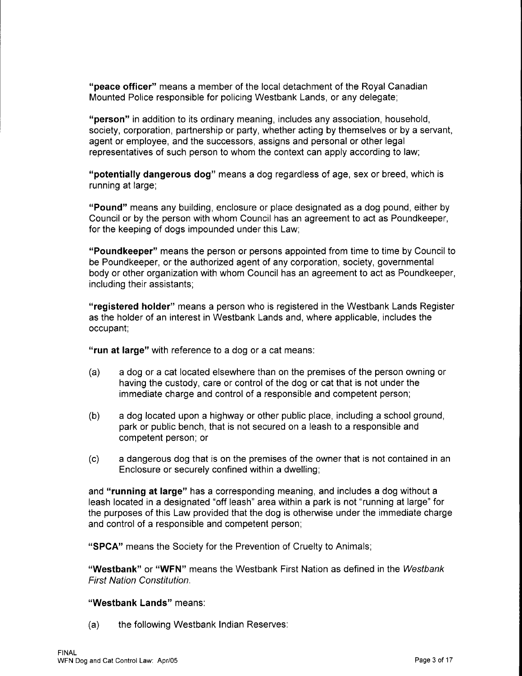**"peace officer"** means a member of the local detachment of the Royal Canadian Mounted Police responsible for policing Westbank Lands, or any delegate;

**"person"** in addition to its ordinary meaning, includes any association, household, society, corporation, partnership or party, whether acting by themselves or by a servant, agent or employee, and the successors, assigns and personal or other legal representatives of such person to whom the context can apply according to law;

**"potentially dangerous dog"** means a dog regardless of age, sex or breed, which is running at large;

**"Pound"** means any building, enclosure or place designated as a dog pound, either by Council or by the person with whom Council has an agreement to act as Poundkeeper, for the keeping of dogs impounded under this Law;

**"Poundkeeper"** means the person or persons appointed from time to time by Council to be Poundkeeper, or the authorized agent of any corporation, society, governmental body or other organization with whom Council has an agreement to act as Poundkeeper, including their assistants;

**"registered holder"** means a person who is registered in the Westbank Lands Register as the holder of an interest in Westbank Lands and, where applicable, includes the occupant;

**"run at large"** with reference to a dog or a cat means:

- (a) a dog or a cat located elsewhere than on the premises of the person owning or having the custody, care or control of the dog or cat that is not under the immediate charge and control of a responsible and competent person;
- (b) a dog located upon a highway or other public place, including a school ground, park or public bench, that is not secured on a leash to a responsible and competent person; or
- (c) a dangerous dog that is on the premises of the owner that is not contained in an Enclosure or securely confined within a dwelling;

and **"running at large"** has a corresponding meaning, and includes a dog without a leash located in a designated "off leash" area within a park is not "running at large" for the purposes of this Law provided that the dog is otherwise under the immediate charge and control of a responsible and competent person;

**"SPCA"** means the Society for the Prevention of Cruelty to Animals;

**"Westbank" or "WFN"** means the Westbank First Nation as defined in the Westbank First Nation Constitution.

**"Westbank Lands"** means:

(a) the following Westbank Indian Reserves: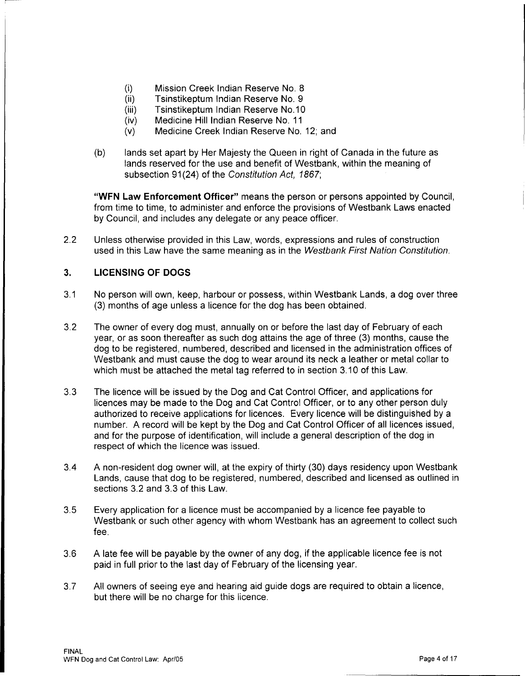- (i) Mission Creek Indian Reserve No. 8
- (ii) Tsinstikeptum Indian Reserve No. 9
- (iii) Tsinstikeptum Indian Reserve No.10
- (iv) Medicine Hill Indian Reserve No. 11
- (v) Medicine Creek Indian Reserve No. 12; and
- (b) lands set apart by Her Majesty the Queen in right of Canada in the future as lands reserved for the use and benefit of Westbank, within the meaning of subsection 91(24) of the Constitution Act, 1867;

**"WFN Law Enforcement Officer"** means the person or persons appointed by Council, from time to time, to administer and enforce the provisions of Westbank Laws enacted by Council, and includes any delegate or any peace officer.

2.2 Unless otherwise provided in this Law, words, expressions and rules of construction used in this Law have the same meaning as in the Westbank First Nation Constitution.

# **3. LICENSING OF DOGS**

- 3.1 No person will own, keep, harbour or possess, within Westbank Lands, a dog over three (3) months of age unless a licence for the dog has been obtained.
- 3.2 The owner of every dog must, annually on or before the last day of February of each year, or as soon thereafter as such dog attains the age of three (3) months, cause the dog to be registered, numbered, described and licensed in the administration offices of Westbank and must cause the dog to wear around its neck a leather or metal collar to which must be attached the metal tag referred to in section 3.10 of this Law.
- 3.3 The licence will be issued by the Dog and Cat Control Officer, and applications for licences may be made to the Dog and Cat Control Officer, or to any other person duly authorized to receive applications for licences. Every licence will be distinguished by a number. A record will be kept by the Dog and Cat Control Officer of all licences issued, and for the purpose of identification, will include a general description of the dog in respect of which the licence was issued.
- 3.4 A non-resident dog owner will, at the expiry of thirty (30) days residency upon Westbank Lands, cause that dog to be registered, numbered, described and licensed as outlined in sections 3.2 and 3.3 of this Law.
- 3.5 Every application for a licence must be accompanied by a licence fee payable to Westbank or such other agency with whom Westbank has an agreement to collect such fee.
- 3.6 A late fee will be payable by the owner of any dog, if the applicable licence fee is not paid in full prior to the last day of February of the licensing year.
- 3.7 All owners of seeing eye and hearing aid guide dogs are required to obtain a licence, but there will be no charge for this licence.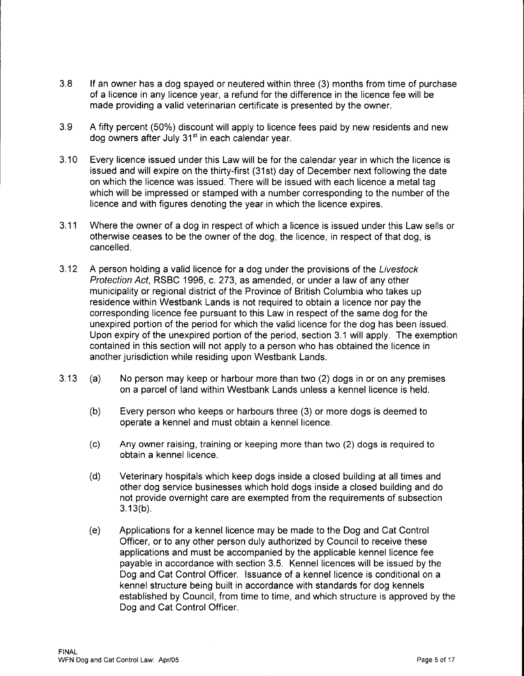- 3.8 If an owner has a dog spayed or neutered within three (3) months from time of purchase of a licence in any licence year, a refund for the difference in the licence fee will be made providing a valid veterinarian certificate is presented by the owner.
- 3.9 A fifty percent (50%) discount will apply to licence fees paid by new residents and new dog owners after July 31<sup>st</sup> in each calendar year.
- 3.10 Every licence issued under this Law will be for the calendar year in which the licence is issued and will expire on the thirty-first (31st) day of December next following the date on which the licence was issued. There will be issued with each licence a metal tag which will be impressed or stamped with a number corresponding to the number of the licence and with figures denoting the year in which the licence expires.
- 3.11 Where the owner of a dog in respect of which a licence is issued under this Law sells or otherwise ceases to be the owner of the dog, the licence, in respect of that dog, is cancelled.
- 3.12 A person holding a valid licence for a dog under the provisions of the Livestock Protection Act, RSBC 1996, c. 273, as amended, or under a law of any other municipality or regional district of the Province of British Columbia who takes up residence within Westbank Lands is not required to obtain a licence nor pay the corresponding licence fee pursuant to this Law in respect of the same dog for the unexpired portion of the period for which the valid licence for the dog has been issued. Upon expiry of the unexpired portion of the period, section 3.1 will apply. The exemption contained in this section will not apply to a person who has obtained the licence in another jurisdiction while residing upon Westbank Lands.
- 3.13 (a) No person may keep or harbour more than two (2) dogs in or on any premises on a parcel of land within Westbank Lands unless a kennel licence is held.
	- (b) Every person who keeps or harbours three (3) or more dogs is deemed to operate a kennel and must obtain a kennel licence.
	- (c) Any owner raising, training or keeping more than two (2) dogs is required to obtain a kennel licence.
	- (d) Veterinary hospitals which keep dogs inside a closed building at all times and other dog service businesses which hold dogs inside a closed building and do not provide overnight care are exempted from the requirements of subsection 3.13(b).
	- (e) Applications for a kennel licence may be made to the Dog and Cat Control Officer, or to any other person duly authorized by Council to receive these applications and must be accompanied by the applicable kennel licence fee payable in accordance with section 3.5. Kennel licences will be issued by the Dog and Cat Control Officer. Issuance of a kennel licence is conditional on a kennel structure being built in accordance with standards for dog kennels established by Council, from time to time, and which structure is approved by the Dog and Cat Control Officer.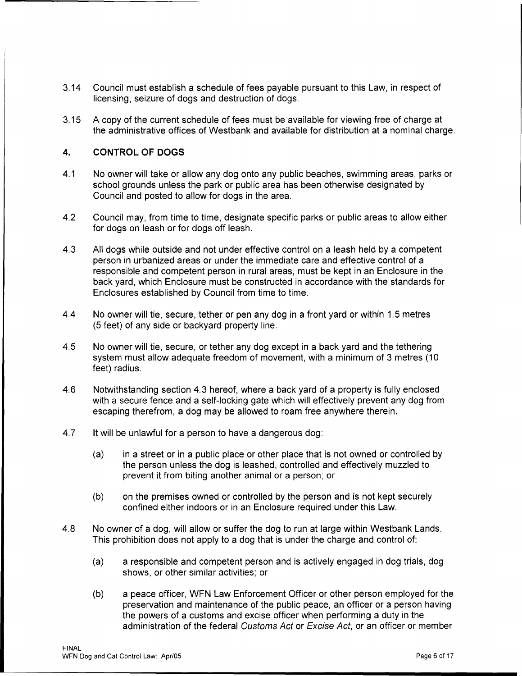- 3.14 Council must establish a schedule of fees payable pursuant to this Law, in respect of licensing, seizure of dogs and destruction of dogs.
- 3.15 A copy of the current schedule of fees must be available for viewing free of charge at the administrative offices of Westbank and available for distribution at a nominal charge.

## **4. CONTROL OF DOGS**

- 4.1 No owner will take or allow any dog onto any public beaches, swimming areas, parks or school grounds unless the park or public area has been otherwise designated by Council and posted to allow for dogs in the area.
- 4.2 Council may, from time to time, designate specific parks or public areas to allow either for dogs on leash or for dogs off leash.
- 4.3 All dogs while outside and not under effective control on a leash held by a competent person in urbanized areas or under the immediate care and effective control of a responsible and competent person in rural areas, must be kept in an Enclosure in the back yard, which Enclosure must be constructed in accordance with the standards for Enclosures established by Council from time to time.
- 4.4 No owner will tie, secure, tether or pen any dog in a front yard or within 1.5 metres (5 feet) of any side or backyard property line.
- 4.5 No owner will tie, secure, or tether any dog except in a back yard and the tethering system must allow adequate freedom of movement, with a minimum of 3 metres (10 feet) radius.
- 4.6 Notwithstanding section 4.3 hereof, where a back yard of a property is fully enclosed with a secure fence and a self-locking gate which will effectively prevent any dog from escaping therefrom, a dog may be allowed to roam free anywhere therein.
- 4.7 It will be unlawful for a person to have a dangerous dog:
	- (a) in a street or in a public place or other place that is not owned or controlled by the person unless the dog is leashed, controlled and effectively muzzled to prevent it from biting another animal or a person; or
	- (b) on the premises owned or controlled by the person and is not kept securely confined either indoors or in an Enclosure required under this Law.
- 4.8 No owner of a dog, will allow or suffer the dog to run at large within Westbank Lands. This prohibition does not apply to a dog that is under the charge and control of:
	- (a) a responsible and competent person and is actively engaged in dog trials, dog shows, or other similar activities; or
	- (b) a peace officer, WFN Law Enforcement Officer or other person employed for the preservation and maintenance of the public peace, an officer or a person having the powers of a customs and excise officer when performing a duty in the administration of the federal Customs Act or Excise Act, or an officer or member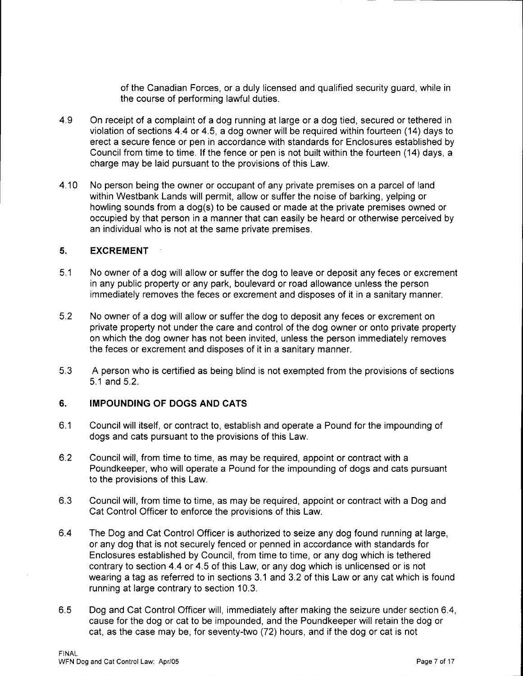of the Canadian Forces, or a duly licensed and qualified security guard, while in the course of performing lawful duties.

- 4.9 On receipt of a complaint of a dog running at large or a dog tied, secured or tethered in violation of sections 4.4 or 4.5, a dog owner will be required within fourteen (14) days to erect a secure fence or pen in accordance with standards for Enclosures established by Council from time to time. If the fence or pen is not built within the fourteen (14) days, a charge may be laid pursuant to the provisions of this Law.
- 4.10 No person being the owner or occupant of any private premises on a parcel of land within Westbank Lands will permit, allow or suffer the noise of barking, yelping or howling sounds from a dog(s) to be caused or made at the private premises owned or occupied by that person in a manner that can easily be heard or otherwise perceived by an individual who is not at the same private premises.

#### **5. EXCREMENT**

- 5.1 No owner of a dog will allow or suffer the dog to leave or deposit any feces or excrement in any public property or any park, boulevard or road allowance unless the person immediately removes the feces or excrement and disposes of it in a sanitary manner.
- 5.2 No owner of a dog will allow or suffer the dog to deposit any feces or excrement on private property not under the care and control of the dog owner or onto private property on which the dog owner has not been invited, unless the person immediately removes the feces or excrement and disposes of it in a sanitary manner.
- 5.3 A person who is certified as being blind is not exempted from the provisions of sections 5.1 and 5.2.

### **6. IMPOUNDING OF DOGS AND CATS**

- 6.1 Council will itself, or contract to, establish and operate a Pound for the impounding of dogs and cats pursuant to the provisions of this Law.
- 6.2 Council will, from time to time, as may be required, appoint or contract with a Poundkeeper, who will operate a Pound for the impounding of dogs and cats pursuant to the provisions of this Law.
- 6.3 Council will, from time to time, as may be required, appoint or contract with a Dog and Cat Control Officer to enforce the provisions of this Law.
- 6.4 The Dog and Cat Control Officer is authorized to seize any dog found running at large, or any dog that is not securely fenced or penned in accordance with standards for Enclosures established by Council, from time to time, or any dog which is tethered contrary to section 4.4 or 4.5 of this Law, or any dog which is unlicensed or is not wearing a tag as referred to in sections 3.1 and 3.2 of this Law or any cat which is found running at large contrary to section 10.3.
- 6.5 Dog and Cat Control Officer will, immediately after making the seizure under section 6.4, cause for the dog or cat to be impounded, and the Poundkeeper will retain the dog or cat, as the case may be, for seventy-two (72) hours, and if the dog or cat is not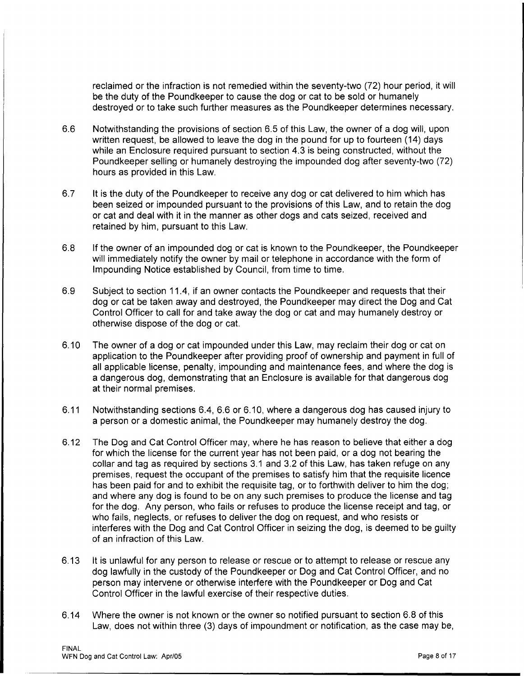reclaimed or the infraction is not remedied within the seventy-two (72) hour period, it will be the duty of the Poundkeeper to cause the dog or cat to be sold or humanely destroyed or to take such further measures as the Poundkeeper determines necessary.

- 6.6 Notwithstanding the provisions of section 6.5 of this Law, the owner of a dog will, upon written request, be allowed to leave the dog in the pound for up to fourteen (14) days while an Enclosure required pursuant to section 4.3 is being constructed, without the Poundkeeper selling or humanely destroying the impounded dog after seventy-two (72) hours as provided in this Law.
- 6.7 It is the duty of the Pound keeper to receive any dog or cat delivered to him which has been seized or impounded pursuant to the provisions of this Law, and to retain the dog or cat and deal with it in the manner as other dogs and cats seized, received and retained by him, pursuant to this Law.
- 6.8 If the owner of an impounded dog or cat is known to the Poundkeeper, the Poundkeeper will immediately notify the owner by mail or telephone in accordance with the form of Impounding Notice established by Council, from time to time.
- 6.9 Subject to section 11.4, if an owner contacts the Poundkeeper and requests that their dog or cat be taken away and destroyed, the Poundkeeper may direct the Dog and Cat Control Officer to call for and take away the dog or cat and may humanely destroy or otherwise dispose of the dog or cat.
- 6.10 The owner of a dog or cat impounded under this Law, may reclaim their dog or cat on application to the Poundkeeper after providing proof of ownership and payment in full of all applicable license, penalty, impounding and maintenance fees, and where the dog is a dangerous dog, demonstrating that an Enclosure is available for that dangerous dog at their normal premises.
- 6.11 Notwithstanding sections 6.4, 6.6 or 6.10, where a dangerous dog has caused injury to a person or a domestic animal, the Poundkeeper may humanely destroy the dog.
- 6.12 The Dog and Cat Control Officer may, where he has reason to believe that either a dog for which the license for the current year has not been paid, or a dog not bearing the collar and tag as required by sections 3.1 and 3.2 of this Law, has taken refuge on any premises, request the occupant of the premises to satisfy him that the requisite licence has been paid for and to exhibit the requisite tag, or to forthwith deliver to him the dog; and where any dog is found to be on any such premises to produce the license and tag for the dog. Any person, who fails or refuses to produce the license receipt and tag, or who fails, neglects, or refuses to deliver the dog on request, and who resists or interferes with the Dog and Cat Control Officer in seizing the dog, is deemed to be guilty of an infraction of this Law.
- 6.13 It is unlawful for any person to release or rescue or to attempt to release or rescue any dog lawfully in the custody of the Poundkeeper or Dog and Cat Control Officer, and no person may intervene or otherwise interfere with the Poundkeeper or Dog and Cat Control Officer in the lawful exercise of their respective duties.
- 6.14 Where the owner is not known or the owner so notified pursuant to section 6.8 of this Law, does not within three (3) days of impoundment or notification, as the case may be,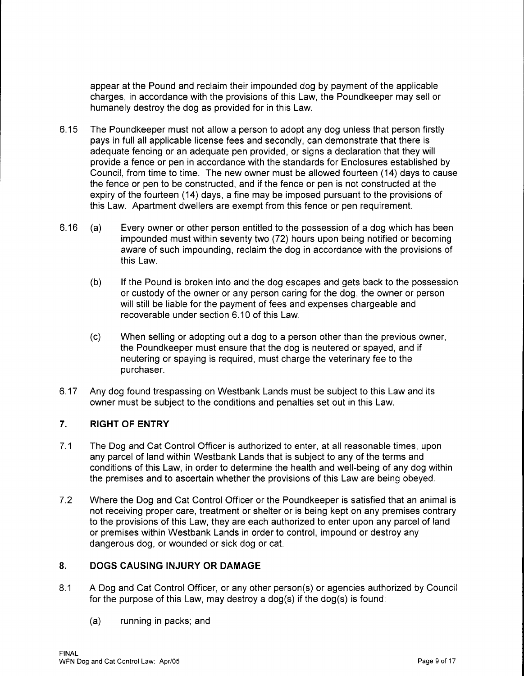appear at the Pound and reclaim their impounded dog by payment of the applicable charges, in accordance with the provisions of this Law, the Poundkeeper may sell or humanely destroy the dog as provided for in this Law.

- 6.15 The Poundkeeper must not allow a person to adopt any dog unless that person firstly pays in full all applicable license fees and secondly, can demonstrate that there is adequate fencing or an adequate pen provided, or signs a declaration that they will provide a fence or pen in accordance with the standards for Enclosures established by Council, from time to time. The new owner must be allowed fourteen (14) days to cause the fence or pen to be constructed, and if the fence or pen is not constructed at the expiry of the fourteen (14) days, a fine may be imposed pursuant to the provisions of this Law. Apartment dwellers are exempt from this fence or pen requirement.
- 6.16 (a) Every owner or other person entitled to the possession of a dog which has been impounded must within seventy two (72) hours upon being notified or becoming aware of such impounding, reclaim the dog in accordance with the provisions of this Law.
	- (b) If the Pound is broken into and the dog escapes and gets back to the possession or custody of the owner or any person caring for the dog, the owner or person will still be liable for the payment of fees and expenses chargeable and recoverable under section 6.10 of this Law.
	- (c) When selling or adopting out a dog to a person other than the previous owner, the Poundkeeper must ensure that the dog is neutered or spayed, and if neutering or spaying is required, must charge the veterinary fee to the purchaser.
- 6.17 Any dog found trespassing on Westbank Lands must be subject to this Law and its owner must be subject to the conditions and penalties set out in this Law.

# **7. RIGHT OF ENTRY**

- 7.1 The Dog and Cat Control Officer is authorized to enter, at all reasonable times, upon any parcel of land within Westbank Lands that is subject to any of the terms and conditions of this Law, in order to determine the health and well-being of any dog within the premises and to ascertain whether the provisions of this Law are being obeyed.
- 7.2 Where the Dog and Cat Control Officer or the Poundkeeper is satisfied that an animal is not receiving proper care, treatment or shelter or is being kept on any premises contrary to the provisions of this Law, they are each authorized to enter upon any parcel of land or premises within Westbank Lands in order to control, impound or destroy any dangerous dog, or wounded or sick dog or cat.

### **8. DOGS CAUSING INJURY OR DAMAGE**

- 8.1 A Dog and Cat Control Officer, or any other person(s) or agencies authorized by Council for the purpose of this Law, may destroy a dog(s) if the dog(s) is found:
	- (a) running in packs; and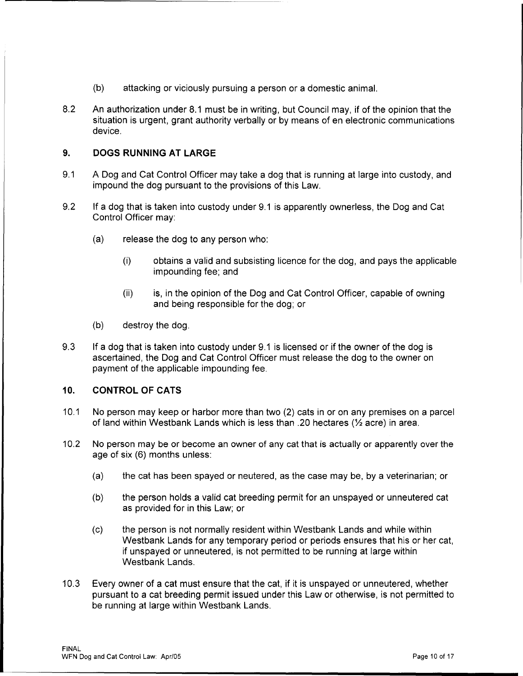- (b) attacking or viciously pursuing a person or a domestic animal.
- 8.2 An authorization under 8.1 must be in writing, but Council may, if of the opinion that the situation is urgent, grant authority verbally or by means of en electronic communications device.

#### **9. DOGS RUNNING AT LARGE**

- 9.1 A Dog and Cat Control Officer may take a dog that is running at large into custody, and impound the dog pursuant to the provisions of this Law.
- 9.2 If a dog that is taken into custody under 9.1 is apparently ownerless, the Dog and Cat Control Officer may:
	- (a) release the dog to any person who:
		- (i) obtains a valid and subsisting licence for the dog, and pays the applicable impounding fee; and
		- (ii) is, in the opinion of the Dog and Cat Control Officer, capable of owning and being responsible for the dog; or
	- (b) destroy the dog.
- 9.3 If a dog that is taken into custody under 9.1 is licensed or if the owner of the dog is ascertained, the Dog and Cat Control Officer must release the dog to the owner on payment of the applicable impounding fee.

## **10. CONTROL OF CATS**

- 10.1 No person may keep or harbor more than two (2) cats in or on any premises on a parcel of land within Westbank Lands which is less than .20 hectares ( $\frac{1}{2}$  acre) in area.
- 10.2 No person may be or become an owner of any cat that is actually or apparently over the age of six (6) months unless:
	- (a) the cat has been spayed or neutered, as the case may be, by a veterinarian; or
	- (b) the person holds a valid cat breeding permit for an unspayed or unneutered cat as provided for in this Law; or
	- (c) the person is not normally resident within Westbank Lands and while within Westbank Lands for any temporary period or periods ensures that his or her cat, if unspayed or unneutered, is not permitted to be running at large within Westbank Lands.
- 10.3 Every owner of a cat must ensure that the cat, if it is unspayed or unneutered, whether pursuant to a cat breeding permit issued under this Law or otherwise, is not permitted to be running at large within Westbank Lands.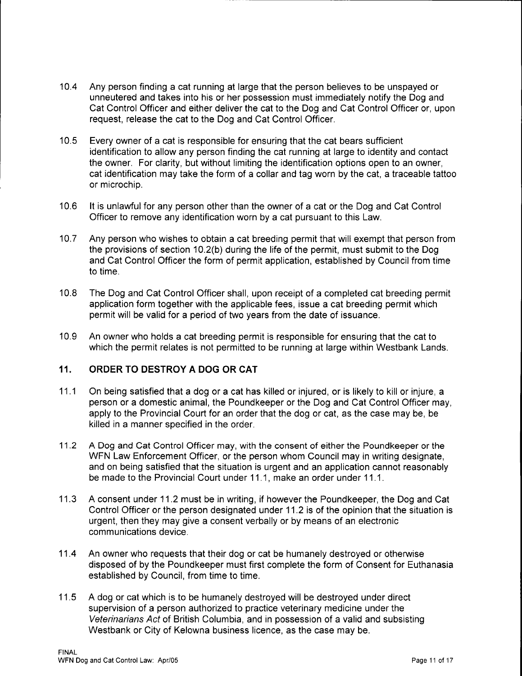10.4 Any person finding a cat running at large that the person believes to be unspayed or unneutered and takes into his or her possession must immediately notify the Dog and Cat Control Officer and either deliver the cat to the Dog and Cat Control Officer or, upon request, release the cat to the Dog and Cat Control Officer.

----------------------------------------,

- 10. 5 Every owner of a cat is responsible for ensuring that the cat bears sufficient identification to allow any person finding the cat running at large to identity and contact the owner. For clarity, but without limiting the identification options open to an owner, cat identification may take the form of a collar and tag worn by the cat, a traceable tattoo or microchip.
- 10.6 It is unlawful for any person other than the owner of a cat or the Dog and Cat Control Officer to remove any identification worn by a cat pursuant to this Law.
- 10.7 Any person who wishes to obtain a cat breeding permit that will exempt that person from the provisions of section 10.2(b) during the life of the permit, must submit to the Dog and Cat Control Officer the form of permit application, established by Council from time to time.
- 10.8 The Dog and Cat Control Officer shall, upon receipt of a completed cat breeding permit application form together with the applicable fees, issue a cat breeding permit which permit will be valid for a period of two years from the date of issuance.
- 10.9 An owner who holds a cat breeding permit is responsible for ensuring that the cat to which the permit relates is not permitted to be running at large within Westbank Lands.

## **11. ORDER TO DESTROY A DOG OR CAT**

- 11.1 On being satisfied that a dog or a cat has killed or injured, or is likely to kill or injure, a person or a domestic animal, the Poundkeeper or the Dog and Cat Control Officer may, apply to the Provincial Court for an order that the dog or cat, as the case may be, be killed in a manner specified in the order.
- 11.2 A Dog and Cat Control Officer may, with the consent of either the Poundkeeper or the WFN Law Enforcement Officer, or the person whom Council may in writing designate, and on being satisfied that the situation is urgent and an application cannot reasonably be made to the Provincial Court under 11.1, make an order under 11.1.
- 11.3 A consent under 11.2 must be in writing, if however the Poundkeeper, the Dog and Cat Control Officer or the person designated under 11.2 is of the opinion that the situation is urgent, then they may give a consent verbally or by means of an electronic communications device.
- 11.4 An owner who requests that their dog or cat be humanely destroyed or otherwise disposed of by the Poundkeeper must first complete the form of Consent for Euthanasia established by Council, from time to time.
- 11.5 A dog or cat which is to be humanely destroyed will be destroyed under direct supervision of a person authorized to practice veterinary medicine under the Veterinarians Act of British Columbia, and in possession of a valid and subsisting Westbank or City of Kelowna business licence, as the case may be.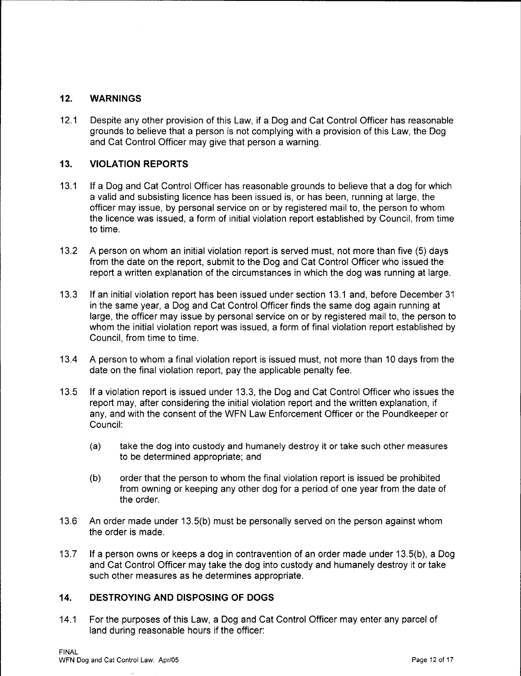## **12. WARNINGS**

12.1 Despite any other provision of this Law, if a Dog and Cat Control Officer has reasonable grounds to believe that a person is not complying with a provision of this Law, the Dog and Cat Control Officer may give that person a warning.

# **13. VIOLATION REPORTS**

- 13.1 If a Dog and Cat Control Officer has reasonable grounds to believe that a dog for which a valid and subsisting licence has been issued is, or has been, running at large, the officer may issue, by personal service on or by registered mail to, the person to whom the licence was issued, a form of initial violation report established by Council, from time to time.
- 13.2 A person on whom an initial violation report is served must, not more than five (5) days from the date on the report, submit to the Dog and Cat Control Officer who issued the report a written explanation of the circumstances in which the dog was running at large.
- 13.3 If an initial violation report has been issued under section 13.1 and, before December 31 in the same year, a Dog and Cat Control Officer finds the same dog again running at large, the officer may issue by personal service on or by registered mail to, the person to whom the initial violation report was issued, a form of final violation report established by Council, from time to time.
- 13.4 A person to whom a final violation report is issued must, not more than 10 days from the date on the final violation report, pay the applicable penalty fee.
- 13.5 If a violation report is issued under 13.3, the Dog and Cat Control Officer who issues the report may, after considering the initial violation report and the written explanation, if any, and with the consent of the WFN Law Enforcement Officer or the Poundkeeper or Council:
	- (a) take the dog into custody and humanely destroy it or take such other measures to be determined appropriate; and
	- (b) order that the person to whom the final violation report is issued be prohibited from owning or keeping any other dog for a period of one year from the date of the order.
- 13.6 An order made under 13.5(b) must be personally served on the person against whom the order is made.
- 13.7 If a person owns or keeps a dog in contravention of an order made under 13.5(b), a Dog and Cat Control Officer may take the dog into custody and humanely destroy it or take such other measures as he determines appropriate.

## **14. DESTROYING AND DISPOSING OF DOGS**

14.1 For the purposes of this Law, a Dog and Cat Control Officer may enter any parcel of land during reasonable hours if the officer: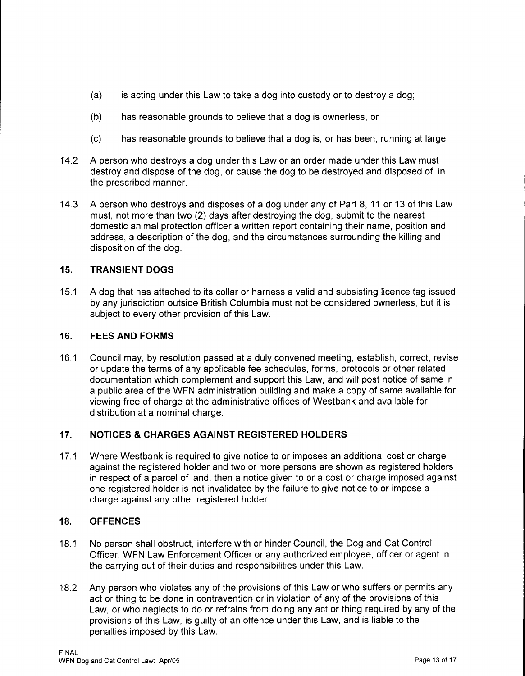- (a) is acting under this Law to take a dog into custody or to destroy a dog;
- (b) has reasonable grounds to believe that a dog is ownerless, or
- (c) has reasonable grounds to believe that a dog is, or has been, running at large.
- 14.2 A person who destroys a dog under this Law or an order made under this Law must destroy and dispose of the dog, or cause the dog to be destroyed and disposed of, in the prescribed manner.
- 14.3 A person who destroys and disposes of a dog under any of Part 8, 11 or 13 of this Law must, not more than two (2) days after destroying the dog, submit to the nearest domestic animal protection officer a written report containing their name, position and address, a description of the dog, and the circumstances surrounding the killing and disposition of the dog.

# **15. TRANSIENT DOGS**

15.1 A dog that has attached to its collar or harness a valid and subsisting licence tag issued by any jurisdiction outside British Columbia must not be considered ownerless, but it is subject to every other provision of this Law.

## **16. FEES AND FORMS**

16.1 Council may, by resolution passed at a duly convened meeting, establish, correct, revise or update the terms of any applicable fee schedules, forms, protocols or other related documentation which complement and support this Law, and will post notice of same in a public area of the WFN administration building and make a copy of same available for viewing free of charge at the administrative offices of Westbank and available for distribution at a nominal charge.

# **17. NOTICES & CHARGES AGAINST REGISTERED HOLDERS**

17 .1 Where Westbank is required to give notice to or imposes an additional cost or charge against the registered holder and two or more persons are shown as registered holders in respect of a parcel of land, then a notice given to or a cost or charge imposed against one registered holder is not invalidated by the failure to give notice to or impose a charge against any other registered holder.

### **18. OFFENCES**

- 18.1 No person shall obstruct, interfere with or hinder Council, the Dog and Cat Control Officer, WFN Law Enforcement Officer or any authorized employee, officer or agent in the carrying out of their duties and responsibilities under this Law.
- 18.2 Any person who violates any of the provisions of this Law or who suffers or permits any act or thing to be done in contravention or in violation of any of the provisions of this Law, or who neglects to do or refrains from doing any act or thing required by any of the provisions of this Law, is guilty of an offence under this Law, and is liable to the penalties imposed by this Law.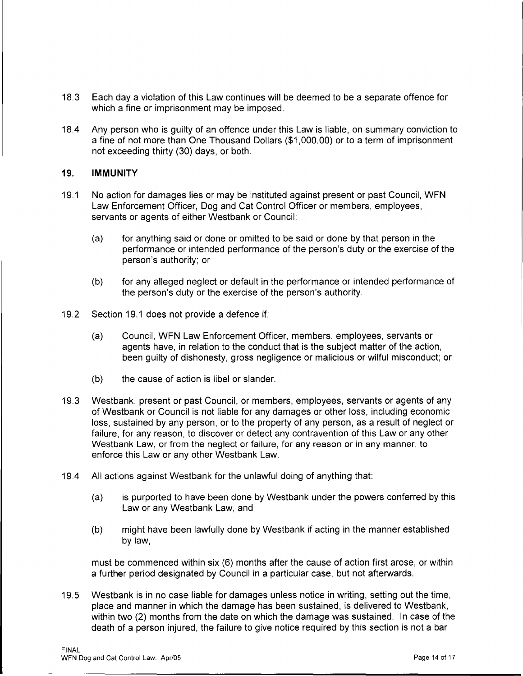- 18.3 Each day a violation of this Law continues will be deemed to be a separate offence for which a fine or imprisonment may be imposed.
- 18.4 Any person who is guilty of an offence under this Law is liable, on summary conviction to a fine of not more than One Thousand Dollars (\$1,000.00) or to a term of imprisonment not exceeding thirty (30) days, or both.

#### **19. IMMUNITY**

- 19.1 No action for damages lies or may be instituted against present or past Council, WFN Law Enforcement Officer, Dog and Cat Control Officer or members, employees, servants or agents of either Westbank or Council:
	- (a) for anything said or done or omitted to be said or done by that person in the performance or intended performance of the person's duty or the exercise of the person's authority; or
	- (b) for any alleged neglect or default in the performance or intended performance of the person's duty or the exercise of the person's authority.
- 19.2 Section 19.1 does not provide a defence if:
	- (a) Council, WFN Law Enforcement Officer, members, employees, servants or agents have, in relation to the conduct that is the subject matter of the action, been guilty of dishonesty, gross negligence or malicious or wilful misconduct; or
	- (b) the cause of action is libel or slander.
- 19.3 Westbank, present or past Council, or members, employees, servants or agents of any of Westbank or Council is not liable for any damages or other loss, including economic loss, sustained by any person, or to the property of any person, as a result of neglect or failure, for any reason, to discover or detect any contravention of this Law or any other Westbank Law, or from the neglect or failure, for any reason or in any manner, to enforce this Law or any other Westbank Law.
- 19.4 All actions against Westbank for the unlawful doing of anything that:
	- (a) is purported to have been done by Westbank under the powers conferred by this Law or any Westbank Law, and
	- (b) might have been lawfully done by Westbank if acting in the manner established by law,

must be commenced within six (6) months after the cause of action first arose, or within a further period designated by Council in a particular case, but not afterwards.

19.5 Westbank is in no case liable for damages unless notice in writing, setting out the time, place and manner in which the damage has been sustained, is delivered to Westbank, within two (2) months from the date on which the damage was sustained. In case of the death of a person injured, the failure to give notice required by this section is not a bar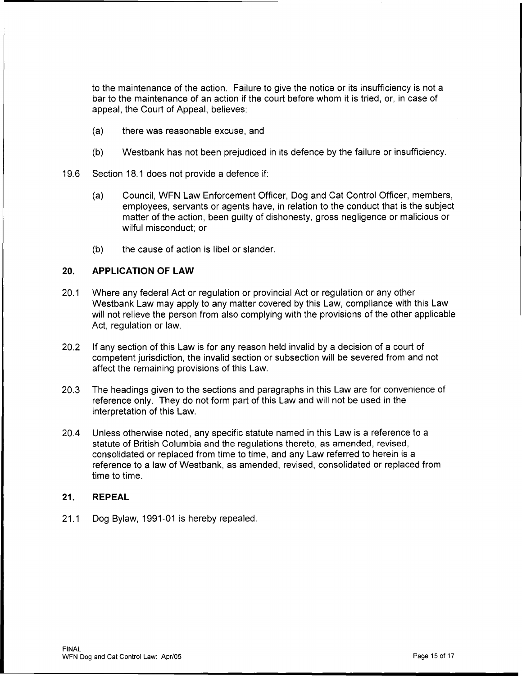to the maintenance of the action. Failure to give the notice or its insufficiency is not a bar to the maintenance of an action if the court before whom it is tried, or, in case of appeal, the Court of Appeal, believes:

- (a) there was reasonable excuse, and
- (b) Westbank has not been prejudiced in its defence by the failure or insufficiency.
- 19.6 Section 18.1 does not provide a defence if:
	- (a) Council, WFN Law Enforcement Officer, Dog and Cat Control Officer, members, employees, servants or agents have, in relation to the conduct that is the subject matter of the action, been guilty of dishonesty, gross negligence or malicious or wilful misconduct; or
	- (b) the cause of action is libel or slander.

#### **20. APPLICATION OF LAW**

- 20.1 Where any federal Act or regulation or provincial Act or regulation or any other Westbank Law may apply to any matter covered by this Law, compliance with this Law will not relieve the person from also complying with the provisions of the other applicable Act, regulation or law.
- 20.2 If any section of this Law is for any reason held invalid by a decision of a court of competent jurisdiction, the invalid section or subsection will be severed from and not affect the remaining provisions of this Law.
- 20.3 The headings given to the sections and paragraphs in this Law are for convenience of reference only. They do not form part of this Law and will not be used in the interpretation of this Law.
- 20.4 Unless otherwise noted, any specific statute named in this Law is a reference to a statute of British Columbia and the regulations thereto, as amended, revised, consolidated or replaced from time to time, and any Law referred to herein is a reference to a law of Westbank, as amended, revised, consolidated or replaced from time to time.

#### **21. REPEAL**

21.1 Dog Bylaw, 1991-01 is hereby repealed.